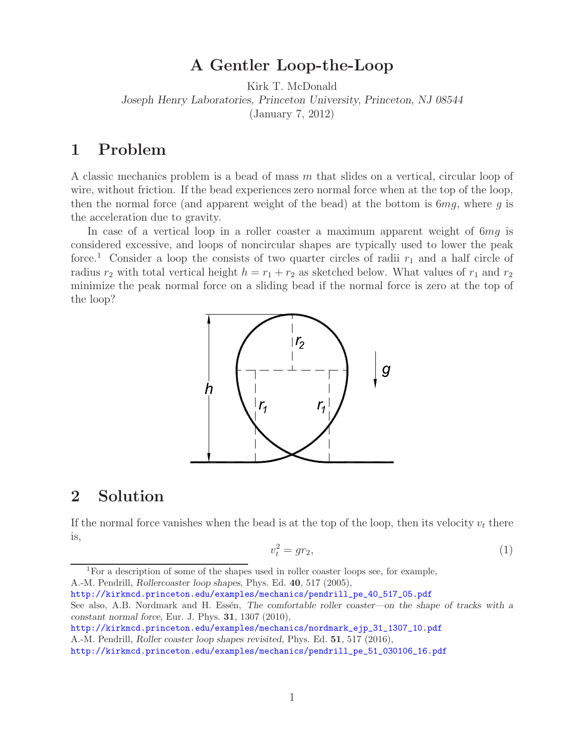## **A Gentler Loop-the-Loop**

Kirk T. McDonald *Joseph Henry Laboratories, Princeton University, Princeton, NJ 08544* (January 7, 2012)

## **1 Problem**

A classic mechanics problem is a bead of mass *m* that slides on a vertical, circular loop of wire, without friction. If the bead experiences zero normal force when at the top of the loop, then the normal force (and apparent weight of the bead) at the bottom is 6*mg*, where *g* is the acceleration due to gravity.

In case of a vertical loop in a roller coaster a maximum apparent weight of 6*mg* is considered excessive, and loops of noncircular shapes are typically used to lower the peak force.<sup>1</sup> Consider a loop the consists of two quarter circles of radii  $r_1$  and a half circle of radius  $r_2$  with total vertical height  $h = r_1 + r_2$  as sketched below. What values of  $r_1$  and  $r_2$ minimize the peak normal force on a sliding bead if the normal force is zero at the top of the loop?



## **2 Solution**

If the normal force vanishes when the bead is at the top of the loop, then its velocity  $v_t$  there is,

$$
v_t^2 = gr_2,\tag{1}
$$

<sup>1</sup>For a description of some of the shapes used in roller coaster loops see, for example, A.-M. Pendrill, *Rollercoaster loop shapes*, Phys. Ed. **40**, 517 (2005),

http://kirkmcd.princeton.edu/examples/mechanics/pendrill\_pe\_40\_517\_05.pdf See also, A.B. Nordmark and H. Essén, *The comfortable roller coaster—on the shape of tracks with a constant normal force*, Eur. J. Phys. **31**, 1307 (2010),

http://kirkmcd.princeton.edu/examples/mechanics/nordmark\_ejp\_31\_1307\_10.pdf

A.-M. Pendrill, *Roller coaster loop shapes revisited*, Phys. Ed. **51**, 517 (2016),

http://kirkmcd.princeton.edu/examples/mechanics/pendrill\_pe\_51\_030106\_16.pdf